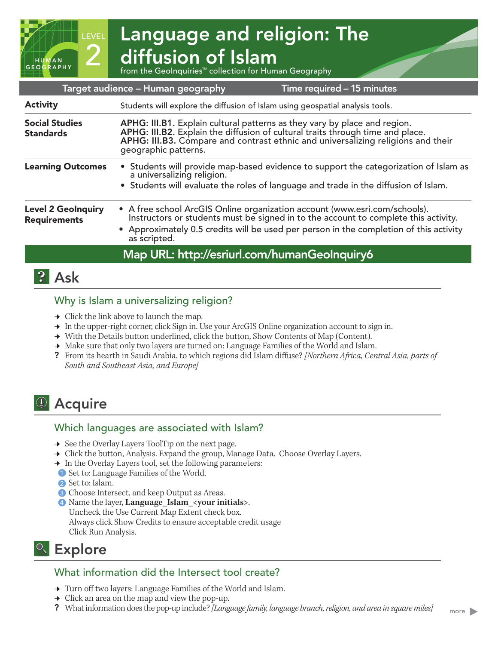

| <b>Activity</b>                                  | Students will explore the diffusion of Islam using geospatial analysis tools.                                                                                                                                                                                               |
|--------------------------------------------------|-----------------------------------------------------------------------------------------------------------------------------------------------------------------------------------------------------------------------------------------------------------------------------|
| <b>Social Studies</b><br><b>Standards</b>        | APHG: III.B1. Explain cultural patterns as they vary by place and region.<br>APHG: III.B2. Explain the diffusion of cultural traits through time and place.<br>APHG: III.B3. Compare and contrast ethnic and universalizing religions and their<br>geographic patterns.     |
| <b>Learning Outcomes</b>                         | • Students will provide map-based evidence to support the categorization of Islam as<br>a universalizing religion.<br>• Students will evaluate the roles of language and trade in the diffusion of Islam.                                                                   |
| <b>Level 2 GeoInquiry</b><br><b>Requirements</b> | • A free school ArcGIS Online organization account (www.esri.com/schools).<br>Instructors or students must be signed in to the account to complete this activity.<br>• Approximately 0.5 credits will be used per person in the completion of this activity<br>as scripted. |
|                                                  | Map URL: http://esriurl.com/humanGeoInquiry6                                                                                                                                                                                                                                |
|                                                  |                                                                                                                                                                                                                                                                             |

# **P** Ask

## Why is Islam a universalizing religion?

- $\rightarrow$  Click the link above to launch the map.
- → In the upper-right corner, click Sign in. Use your ArcGIS Online organization account to sign in.
- → With the Details button underlined, click the button, Show Contents of Map (Content).
- → Make sure that only two layers are turned on: Language Families of the World and Islam.
- ? From its hearth in Saudi Arabia, to which regions did Islam diffuse? *[Northern Africa, Central Asia, parts of South and Southeast Asia, and Europe]*

# <sup>1</sup> Acquire

## Which languages are associated with Islam?

- → See the Overlay Layers ToolTip on the next page.
- → Click the button, Analysis. Expand the group, Manage Data. Choose Overlay Layers.
- → In the Overlay Layers tool, set the following parameters:
- **1** Set to: Language Families of the World.
- 2 Set to: Islam. 2
- **3** Choose Intersect, and keep Output as Areas.
- 4 Name the layer, **Language\_Islam\_<your initials>**. 4Uncheck the Use Current Map Extent check box. Always click Show Credits to ensure acceptable credit usage Click Run Analysis.

# <sup>Q</sup> Explore

## What information did the Intersect tool create?

- **→** Turn off two layers: Language Families of the World and Islam.
- $\rightarrow$  Click an area on the map and view the pop-up.
- ? What information does the pop-up include? *[Language family, language branch, religion, and area in square miles]*